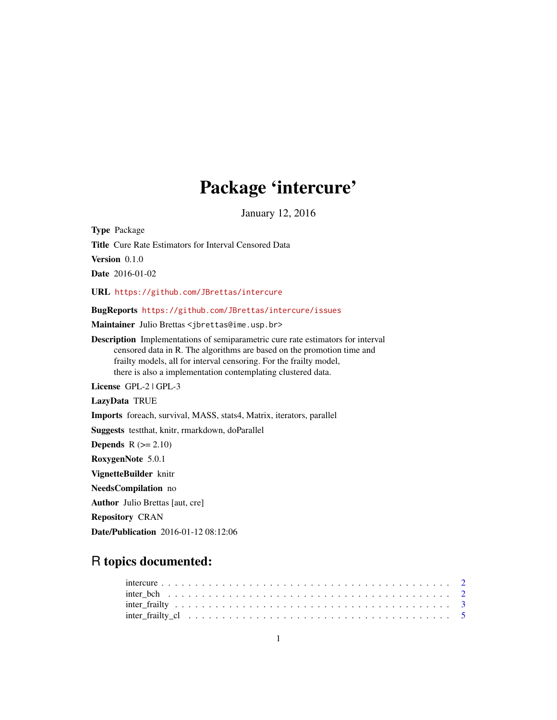# Package 'intercure'

January 12, 2016

Type Package Title Cure Rate Estimators for Interval Censored Data Version 0.1.0 Date 2016-01-02 URL <https://github.com/JBrettas/intercure> BugReports <https://github.com/JBrettas/intercure/issues> Maintainer Julio Brettas <jbrettas@ime.usp.br> Description Implementations of semiparametric cure rate estimators for interval censored data in R. The algorithms are based on the promotion time and frailty models, all for interval censoring. For the frailty model, there is also a implementation contemplating clustered data. License GPL-2 | GPL-3 LazyData TRUE Imports foreach, survival, MASS, stats4, Matrix, iterators, parallel Suggests testthat, knitr, rmarkdown, doParallel **Depends**  $R$  ( $>= 2.10$ ) RoxygenNote 5.0.1 VignetteBuilder knitr NeedsCompilation no Author Julio Brettas [aut, cre] Repository CRAN Date/Publication 2016-01-12 08:12:06

## R topics documented: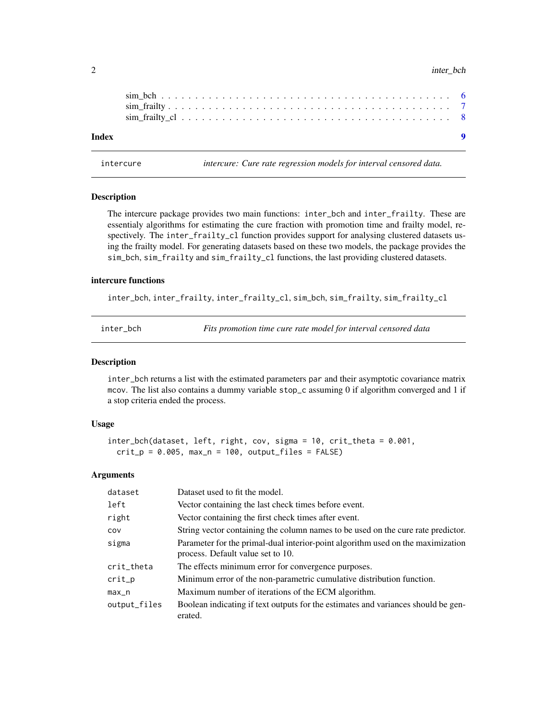#### <span id="page-1-0"></span>2 inter\_bch and  $\frac{1}{2}$  inter\_bch and  $\frac{1}{2}$  inter\_bch and  $\frac{1}{2}$  inter\_bch and  $\frac{1}{2}$  inter\_bch and  $\frac{1}{2}$  inter\_bch and  $\frac{1}{2}$  inter\_bch and  $\frac{1}{2}$  inter\_bch and  $\frac{1}{2}$  inter\_bch and  $\frac{1}{2}$  inte

| Index |  |  |  |  |  |  |  |  |  |  |  |  |  |  |  |  |  |  |  | $\bullet$ |
|-------|--|--|--|--|--|--|--|--|--|--|--|--|--|--|--|--|--|--|--|-----------|
|       |  |  |  |  |  |  |  |  |  |  |  |  |  |  |  |  |  |  |  |           |
|       |  |  |  |  |  |  |  |  |  |  |  |  |  |  |  |  |  |  |  |           |
|       |  |  |  |  |  |  |  |  |  |  |  |  |  |  |  |  |  |  |  |           |

intercure *intercure: Cure rate regression models for interval censored data.*

#### **Description**

The intercure package provides two main functions: inter\_bch and inter\_frailty. These are essentialy algorithms for estimating the cure fraction with promotion time and frailty model, respectively. The inter\_frailty\_cl function provides support for analysing clustered datasets using the frailty model. For generating datasets based on these two models, the package provides the sim\_bch, sim\_frailty and sim\_frailty\_cl functions, the last providing clustered datasets.

#### intercure functions

inter\_bch, inter\_frailty, inter\_frailty\_cl, sim\_bch, sim\_frailty, sim\_frailty\_cl

inter\_bch *Fits promotion time cure rate model for interval censored data*

#### **Description**

inter\_bch returns a list with the estimated parameters par and their asymptotic covariance matrix mcov. The list also contains a dummy variable stop\_c assuming 0 if algorithm converged and 1 if a stop criteria ended the process.

#### Usage

```
inter_bch(dataset, left, right, cov, sigma = 10, crit_theta = 0.001,
 crit_p = 0.005, max_n = 100, output_files = FALSE)
```
#### Arguments

| dataset      | Dataset used to fit the model.                                                                                       |
|--------------|----------------------------------------------------------------------------------------------------------------------|
| left         | Vector containing the last check times before event.                                                                 |
| right        | Vector containing the first check times after event.                                                                 |
| COV          | String vector containing the column names to be used on the cure rate predictor.                                     |
| sigma        | Parameter for the primal-dual interior-point algorithm used on the maximization<br>process. Default value set to 10. |
| crit_theta   | The effects minimum error for convergence purposes.                                                                  |
| $crit_p$     | Minimum error of the non-parametric cumulative distribution function.                                                |
| $max_n$      | Maximum number of iterations of the ECM algorithm.                                                                   |
| output_files | Boolean indicating if text outputs for the estimates and variances should be gen-<br>erated.                         |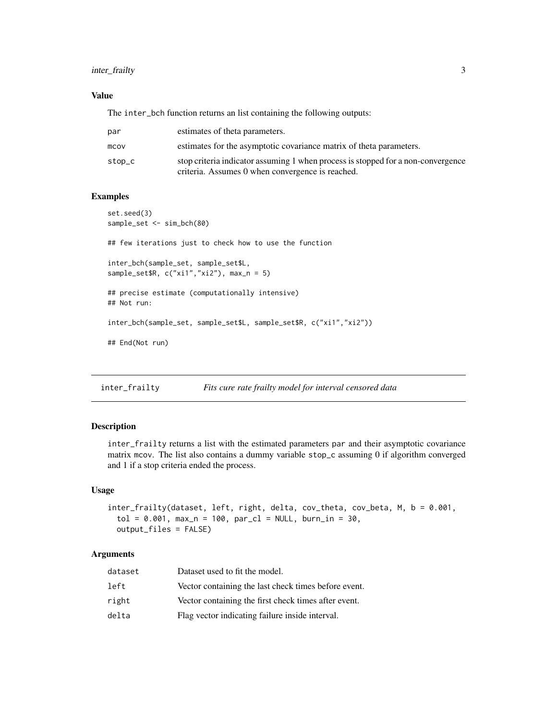#### <span id="page-2-0"></span>inter\_frailty 3

#### Value

The inter\_bch function returns an list containing the following outputs:

| par    | estimates of theta parameters.                                                                                                       |
|--------|--------------------------------------------------------------------------------------------------------------------------------------|
| mcov   | estimates for the asymptotic covariance matrix of theta parameters.                                                                  |
| stop_c | stop criteria indicator assuming 1 when process is stopped for a non-convergence<br>criteria. Assumes 0 when convergence is reached. |

#### Examples

```
set.seed(3)
sample_set <- sim_bch(80)
## few iterations just to check how to use the function
inter_bch(sample_set, sample_set$L,
sample_set$R, c("xi1","xi2"), max_n = 5)
## precise estimate (computationally intensive)
## Not run:
inter_bch(sample_set, sample_set$L, sample_set$R, c("xi1","xi2"))
## End(Not run)
```
inter\_frailty *Fits cure rate frailty model for interval censored data*

#### Description

inter\_frailty returns a list with the estimated parameters par and their asymptotic covariance matrix mcov. The list also contains a dummy variable stop\_c assuming 0 if algorithm converged and 1 if a stop criteria ended the process.

#### Usage

```
inter_frailty(dataset, left, right, delta, cov_theta, cov_beta, M, b = 0.001,
  tol = 0.001, max_n = 100, par_cl = NULL, burn_in = 30,
 output_files = FALSE)
```
#### Arguments

| dataset | Dataset used to fit the model.                       |
|---------|------------------------------------------------------|
| left    | Vector containing the last check times before event. |
| right   | Vector containing the first check times after event. |
| delta   | Flag vector indicating failure inside interval.      |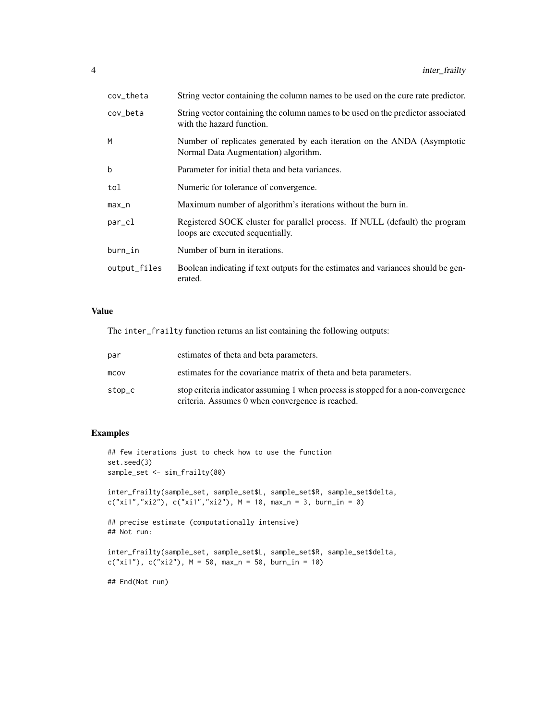| cov_theta    | String vector containing the column names to be used on the cure rate predictor.                                 |
|--------------|------------------------------------------------------------------------------------------------------------------|
| cov beta     | String vector containing the column names to be used on the predictor associated<br>with the hazard function.    |
| M            | Number of replicates generated by each iteration on the ANDA (Asymptotic<br>Normal Data Augmentation) algorithm. |
| b            | Parameter for initial theta and beta variances.                                                                  |
| tol          | Numeric for tolerance of convergence.                                                                            |
| max_n        | Maximum number of algorithm's iterations without the burn in.                                                    |
| par_cl       | Registered SOCK cluster for parallel process. If NULL (default) the program<br>loops are executed sequentially.  |
| burn_in      | Number of burn in iterations.                                                                                    |
| output_files | Boolean indicating if text outputs for the estimates and variances should be gen-<br>erated.                     |

#### Value

The inter\_frailty function returns an list containing the following outputs:

| par    | estimates of theta and beta parameters.                                                                                              |
|--------|--------------------------------------------------------------------------------------------------------------------------------------|
| mcov   | estimates for the covariance matrix of theta and beta parameters.                                                                    |
| stop_c | stop criteria indicator assuming 1 when process is stopped for a non-convergence<br>criteria. Assumes 0 when convergence is reached. |

#### Examples

```
## few iterations just to check how to use the function
set.seed(3)
sample_set <- sim_frailty(80)
inter_frailty(sample_set, sample_set$L, sample_set$R, sample_set$delta,
c("xii", "xi2"), c("xi1", "xi2"), M = 10, max_n = 3, burn_in = 0)## precise estimate (computationally intensive)
## Not run:
inter_frailty(sample_set, sample_set$L, sample_set$R, sample_set$delta,
c("xi1"), c("xi2"), M = 50, max_n = 50, burn_in = 10)## End(Not run)
```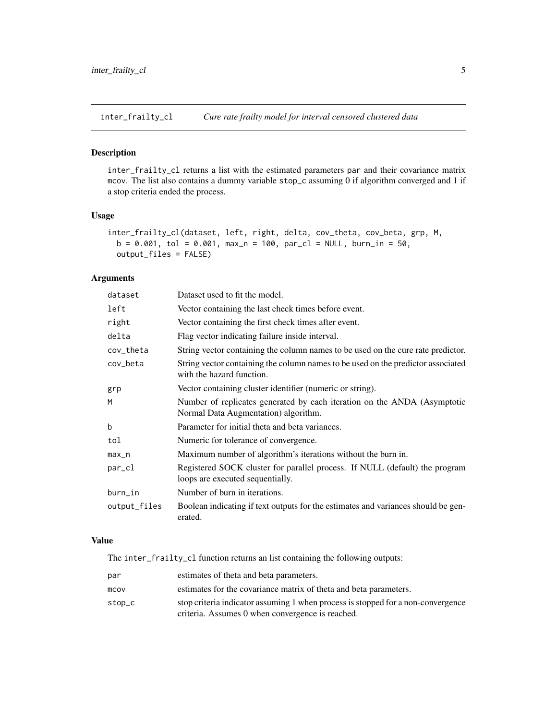<span id="page-4-0"></span>inter\_frailty\_cl *Cure rate frailty model for interval censored clustered data*

#### Description

inter\_frailty\_cl returns a list with the estimated parameters par and their covariance matrix mcov. The list also contains a dummy variable stop\_c assuming 0 if algorithm converged and 1 if a stop criteria ended the process.

#### Usage

```
inter_frailty_cl(dataset, left, right, delta, cov_theta, cov_beta, grp, M,
 b = 0.001, tol = 0.001, max_n = 100, par_cl = NULL, burn_in = 50,
 output_files = FALSE)
```
#### Arguments

| dataset      | Dataset used to fit the model.                                                                                   |
|--------------|------------------------------------------------------------------------------------------------------------------|
| left         | Vector containing the last check times before event.                                                             |
| right        | Vector containing the first check times after event.                                                             |
| delta        | Flag vector indicating failure inside interval.                                                                  |
| cov_theta    | String vector containing the column names to be used on the cure rate predictor.                                 |
| cov_beta     | String vector containing the column names to be used on the predictor associated<br>with the hazard function.    |
| grp          | Vector containing cluster identifier (numeric or string).                                                        |
| M            | Number of replicates generated by each iteration on the ANDA (Asymptotic<br>Normal Data Augmentation) algorithm. |
| b            | Parameter for initial theta and beta variances.                                                                  |
| tol          | Numeric for tolerance of convergence.                                                                            |
| max_n        | Maximum number of algorithm's iterations without the burn in.                                                    |
| par_cl       | Registered SOCK cluster for parallel process. If NULL (default) the program<br>loops are executed sequentially.  |
| burn_in      | Number of burn in iterations.                                                                                    |
| output_files | Boolean indicating if text outputs for the estimates and variances should be gen-<br>erated.                     |

#### Value

The inter\_frailty\_cl function returns an list containing the following outputs:

| par    | estimates of theta and beta parameters.                                                                                              |
|--------|--------------------------------------------------------------------------------------------------------------------------------------|
| mcov   | estimates for the covariance matrix of theta and beta parameters.                                                                    |
| stop_c | stop criteria indicator assuming 1 when process is stopped for a non-convergence<br>criteria. Assumes 0 when convergence is reached. |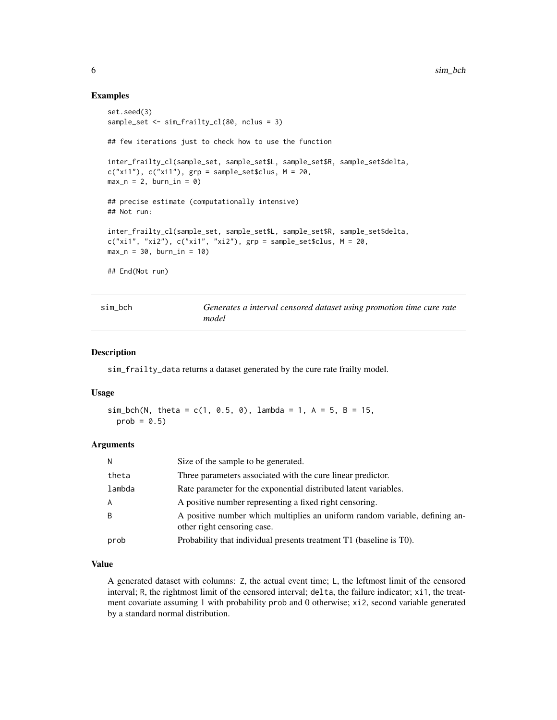#### Examples

```
set.seed(3)
sample_set <- sim_frailty_cl(80, nclus = 3)
## few iterations just to check how to use the function
inter_frailty_cl(sample_set, sample_set$L, sample_set$R, sample_set$delta,
c("xii"), c("xii"), grp = sample_set$clus, M = 20,max_n = 2, burn_in = 0)
## precise estimate (computationally intensive)
## Not run:
inter_frailty_cl(sample_set, sample_set$L, sample_set$R, sample_set$delta,
c("xii", "xi2"), c("xi1", "xi2"), grp = sample_set5clus, M = 20,max_n = 30, burn_in = 10)
## End(Not run)
```

| sim bch | Generates a interval censored dataset using promotion time cure rate |
|---------|----------------------------------------------------------------------|
|         | model                                                                |

#### Description

sim\_frailty\_data returns a dataset generated by the cure rate frailty model.

#### Usage

```
sim\_bch(N, theta = c(1, 0.5, 0), lambda = 1, A = 5, B = 15,prob = 0.5
```
#### Arguments

| N              | Size of the sample to be generated.                                                                        |
|----------------|------------------------------------------------------------------------------------------------------------|
| theta          | Three parameters associated with the cure linear predictor.                                                |
| lambda         | Rate parameter for the exponential distributed latent variables.                                           |
| $\overline{A}$ | A positive number representing a fixed right censoring.                                                    |
| B              | A positive number which multiplies an uniform random variable, defining an-<br>other right censoring case. |
| prob           | Probability that individual presents treatment T1 (baseline is T0).                                        |

#### Value

A generated dataset with columns: Z, the actual event time; L, the leftmost limit of the censored interval; R, the rightmost limit of the censored interval; delta, the failure indicator; xi1, the treatment covariate assuming 1 with probability prob and 0 otherwise; xi2, second variable generated by a standard normal distribution.

<span id="page-5-0"></span>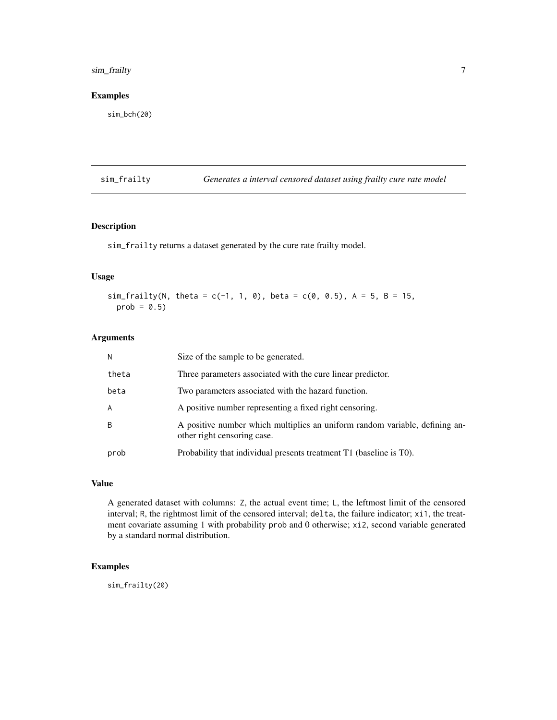### <span id="page-6-0"></span>sim\_frailty 7

#### Examples

sim\_bch(20)

sim\_frailty *Generates a interval censored dataset using frailty cure rate model*

#### Description

sim\_frailty returns a dataset generated by the cure rate frailty model.

#### Usage

sim\_frailty(N, theta = c(-1, 1, 0), beta = c(0, 0.5), A = 5, B = 15,  $prob = 0.5$ 

#### Arguments

| N              | Size of the sample to be generated.                                                                        |
|----------------|------------------------------------------------------------------------------------------------------------|
| theta          | Three parameters associated with the cure linear predictor.                                                |
| beta           | Two parameters associated with the hazard function.                                                        |
| $\overline{A}$ | A positive number representing a fixed right censoring.                                                    |
| B              | A positive number which multiplies an uniform random variable, defining an-<br>other right censoring case. |
| prob           | Probability that individual presents treatment T1 (baseline is T0).                                        |

#### Value

A generated dataset with columns: Z, the actual event time; L, the leftmost limit of the censored interval; R, the rightmost limit of the censored interval; delta, the failure indicator; xi1, the treatment covariate assuming 1 with probability prob and 0 otherwise; xi2, second variable generated by a standard normal distribution.

#### Examples

sim\_frailty(20)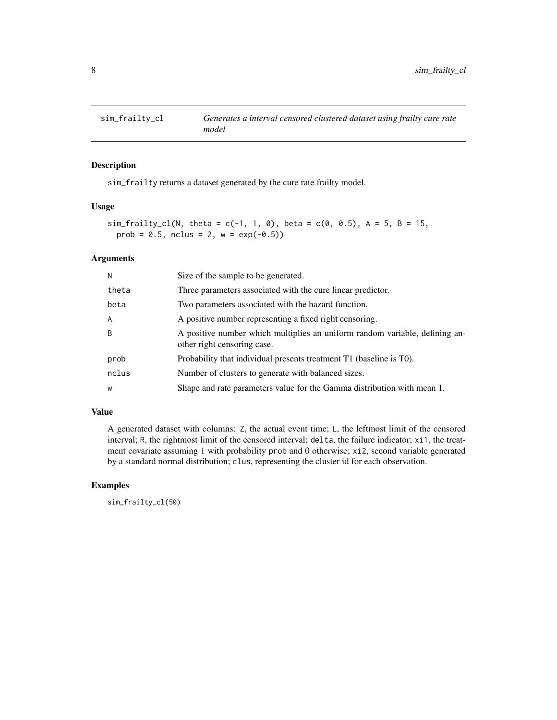<span id="page-7-0"></span>

#### Description

sim\_frailty returns a dataset generated by the cure rate frailty model.

#### Usage

```
sim\_frality\_cl(N, theta = c(-1, 1, 0), beta = c(0, 0.5), A = 5, B = 15,prob = 0.5, nclus = 2, w = exp(-0.5)
```
#### Arguments

| N     | Size of the sample to be generated.                                                                        |
|-------|------------------------------------------------------------------------------------------------------------|
| theta | Three parameters associated with the cure linear predictor.                                                |
| beta  | Two parameters associated with the hazard function.                                                        |
| A     | A positive number representing a fixed right censoring.                                                    |
| B     | A positive number which multiplies an uniform random variable, defining an-<br>other right censoring case. |
| prob  | Probability that individual presents treatment T1 (baseline is T0).                                        |
| nclus | Number of clusters to generate with balanced sizes.                                                        |
| W     | Shape and rate parameters value for the Gamma distribution with mean 1.                                    |

#### Value

A generated dataset with columns: Z, the actual event time; L, the leftmost limit of the censored interval; R, the rightmost limit of the censored interval; delta, the failure indicator; xi1, the treatment covariate assuming 1 with probability prob and 0 otherwise; xi2, second variable generated by a standard normal distribution; clus, representing the cluster id for each observation.

#### Examples

sim\_frailty\_cl(50)